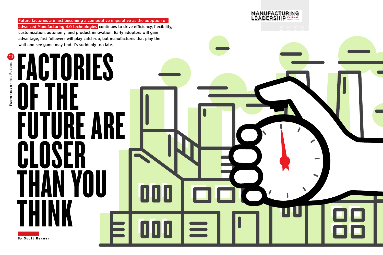Future factories are fast becoming a competitive imperative as the adoption of advanced Manufacturing 4.0 technologies continues to drive efficiency, flexibility, customization, autonomy, and product innovation. Early adopters will gain advantage, fast followers will play catch-up, but manufactures that play the wait and see game may find it's suddenly too late.

FACTORIES

OF THE

HAN YOU<br>HINK

 $\prod_{i=1}^{n}$ 

FUTURI

CLOSER

**THINK** 

By Scott Renner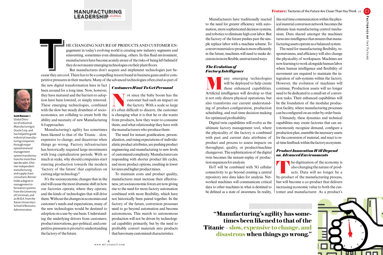## MANUFACTURING LEADERSHIP JOURNAL

HE CHANGING NATURE OF PRODUCTS AND CUSTOMER ENgagement in today's evolving world is creating new industry segments and reinventing, sometimes even eliminating, others. In this fluid environment, manufacturers have become a gagement in today's evolving world is creating new industry segments and reinventing, sometimes even eliminating, others. In this fuid environment, manufacturers have become acutely aware of the risks of being left behind if they do not master emerging technologies on their plant floors.

But manufactures don't acquire and implement technologies just because they are cool. There has to be a compelling reason based in business gains and/or competitive pressures in their markets. Many of the advanced technologies often cited as part of



 Scott Renneris Global Director of industrial Manufacturing at Oracle Corp. and has helped to guide industrial manufacturing companies through major operational and management system transformations for more than two decades. A former independent manufacturing and supply chain consultant, Renner holds a degree in management information systems from the University of Cincinnati, and an M.B.A. from the Xavier University's School of Business Administration.

the new digital transformation have in fact been around for a long time. Now, however, they have matured and the barriers to adoption have been lowered, or simply removed. These emerging technologies, combined with the slow but steady drumbeat of socioeconomics, are colliding to create both the ability and necessity of new Manufacturing 4.0 approaches.

Manufacturing's agility has sometimes been likened to that of the Titanic – slow, expensive to change, and disastrous when things go wrong. Factory infrastructure has historically required large investments with long capitalization periods. With so much at stake, why should companies start steering production towards the modern 'factory of the future' that capitalizes on cutting edge technology?

It's the socioeconomic changes that in the end will cause the most dramatic shift in how our factories operate, where they operate, and the kinds of technologies that will drive them. Without the changes in economies and customer's needs and expectations, many of the new technologies would be destined to adoption on a use-by-use basis. Understanding the underlying drivers from customers, product innovations, geo-political, and competitive pressures is pivotal to understanding the factory of the future.

### *Customers Want To Get Personal*

of since the baby boom has the customer had such an impact on the factory. With a scale so large it's often difficult to discern the customer customer had such an impact on the factory. With a scale so large it's often diffcult to discern, the customer is changing what it is that he or she wants from products, how they want to consume them, and what relationship they have with the manufacturers who produce them.

The need for instant gratifcation, personalization, and rising expectations of individualistic product attributes, are pushing product engineering and manufacturing to new levels of customized complexity. Manufacturers are responding with shorter product life cycles, and more product options, resulting in lower lot sizes and higher product mixes.

To maintain costs and product quality, manufactures must increase their effectiveness, yet socioeconomic forces are now giving rise to the need for more factory automation combined with more fexibility, which have not historically been paired together. In the factory of the future, conversion processes need to go beyond automation and become autonomous. This march to autonomous production will not be driven by technological capability primarily, but by the need to proftably convert materials into products that have many customized characteristics.

**Factories of** 

FACTORIES OF THE FUTUR

the Future

Manufacturers have traditionally reacted to the need for greater efficiency with automation, more sophisticated decision systems, and robotics to eliminate high cost labor. But the factory of the future pushes past the simple replace labor with a machine scheme. To convert materials to products more efficiently in the future, machines will need to make decisions in more fexible, unstructured ways.

#### *The Evolution of Factory Intelligence*

any emerging technologies will be deployed to help create these enhanced capabilities. Artifcial intelligence will develop so that it not only directs physical operations, but also transforms our current understanding of product confguration, production scheduling, and real-time decision making for optimized proftability.

 changeover. The sophistication of the digital Digital twin capabilities will evolve as the ultimate factory management tool, where the physicality of the factory is combined with past and current data attributes of product and process to assess impacts on throughput, quality, or product/machine twin becomes the instant-replay of production sequences for analysis.

IIoT will be combined with 5G cellular connectivity to go beyond creating a central repository into data lakes for analysis. Networked machines will communicate critical data to other machines in what is destined to be defned as a state of awareness. In reality,

this real time communication within the physical material conversion network becomes the ultimate lean manufacturing control mechanism. Data shared amongst the machines turns into intelligence that ensures that manufacturing assets operate as a balanced system.

 sion tasks. Their enhanced capabilities will The need for manufacturing fexibility, responsiveness, and efficiency will also change the physicality of workspaces. Machines are now learning to work alongside human labor where human intelligence and fexibility of movement are required to maintain the integration of sub-systems within the factory. However, the evolution of machines will continue. Production assets will no longer need to be dedicated to a small set of converbe the foundation of the modular production facility, where manufacturing processes can be confgured on an order by order basis.

Ultimately, these dynamics and technical capabilities may create factories that can autonomously recognize demand, confgure a production plan, assemble the necessary assets for the conversion of material, and react to real-time feedback within the factory ecosystem.

#### *Product Innovation Will Depend on Advanced Environments*

**T** he digitization of the economy is also changing the nature of products. Data will no longer be a by-product of the manufacturing process, but will become a co-product that delivers increasing economic value to both the customer and manufacturer. As a product's

...................................................... ...................................................... ...................................................... ...................................................... ...................................................... ...................................................... ...................................................... **"Manufacturing's agility has sometimes been likened to that of the Titanic – slow, expensive to change, and disastrous when things go wrong."**